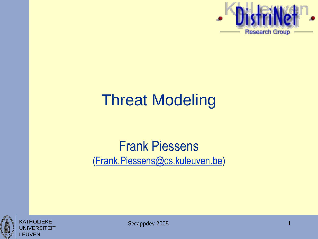

# Threat Modeling

#### Frank Piessens [\(Frank.Piessens@cs.kuleuven.be\)](mailto:Frank.Piessens@cs.kuleuven.be)



KATHOLIEKE UNIVERSITEIT LEUVEN

Secappdev 2008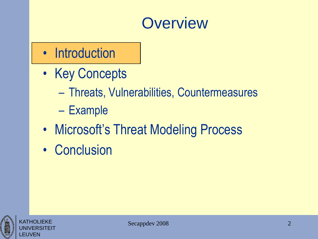## **Overview**

- Introduction
- Key Concepts
	- Threats, Vulnerabilities, Countermeasures
	- Example
- Microsoft's Threat Modeling Process
- Conclusion



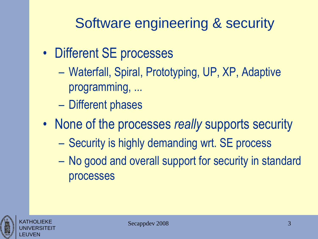#### Software engineering & security

- Different SE processes
	- Waterfall, Spiral, Prototyping, UP, XP, Adaptive programming, ...
	- Different phases
- None of the processes *really* supports security
	- Security is highly demanding wrt. SE process
	- No good and overall support for security in standard processes

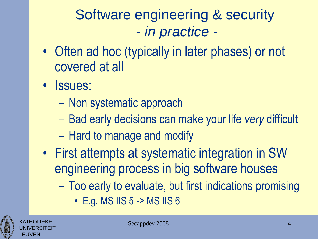#### Software engineering & security - *in practice -*

- Often ad hoc (typically in later phases) or not covered at all
- *Issues:* 
	- Non systematic approach
	- Bad early decisions can make your life *very* difficult
	- Hard to manage and modify
- First attempts at systematic integration in SW engineering process in big software houses
	- Too early to evaluate, but first indications promising
		- E.g. MS IIS 5 -> MS IIS 6

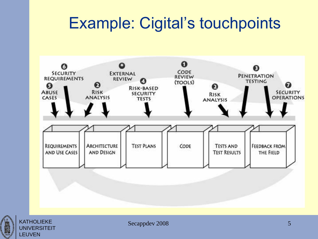## Example: Cigital's touchpoints





Secappdev 2008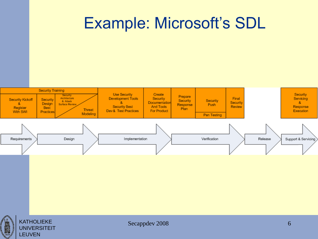## Example: Microsoft's SDL





Secappdev 2008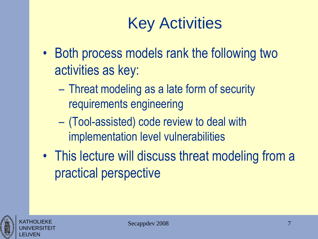# Key Activities

- Both process models rank the following two activities as key:
	- Threat modeling as a late form of security requirements engineering
	- (Tool-assisted) code review to deal with implementation level vulnerabilities
- This lecture will discuss threat modeling from a practical perspective



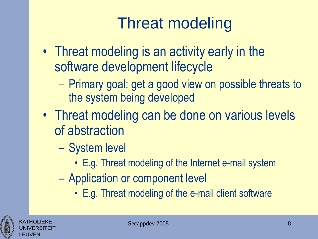# Threat modeling

- Threat modeling is an activity early in the software development lifecycle
	- Primary goal: get a good view on possible threats to the system being developed
- Threat modeling can be done on various levels of abstraction
	- System level
		- E.g. Threat modeling of the Internet e-mail system
	- Application or component level
		- E.g. Threat modeling of the e-mail client software

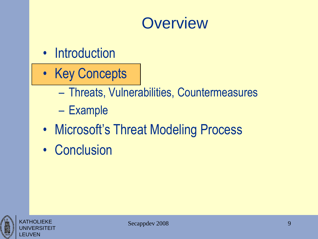#### **Overview**

- Introduction
- Key Concepts
	- Threats, Vulnerabilities, Countermeasures
	- Example
- Microsoft's Threat Modeling Process
- Conclusion



**KATHOLIEKE** UNIVERSITEIT

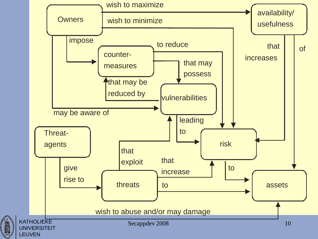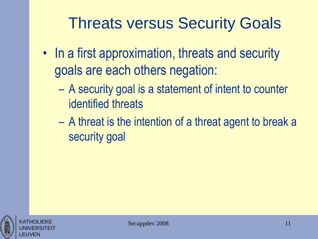## Threats versus Security Goals

- In a first approximation, threats and security goals are each others negation:
	- A security goal is a statement of intent to counter identified threats
	- A threat is the intention of a threat agent to break a security goal



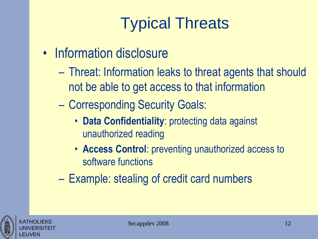- Information disclosure
	- Threat: Information leaks to threat agents that should not be able to get access to that information
	- Corresponding Security Goals:
		- **Data Confidentiality**: protecting data against unauthorized reading
		- **Access Control**: preventing unauthorized access to software functions
	- Example: stealing of credit card numbers

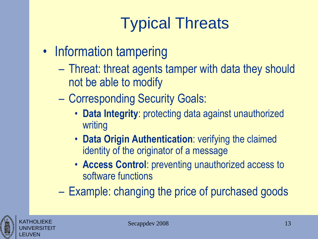- Information tampering
	- Threat: threat agents tamper with data they should not be able to modify
	- Corresponding Security Goals:
		- **Data Integrity**: protecting data against unauthorized writing
		- **Data Origin Authentication**: verifying the claimed identity of the originator of a message
		- **Access Control**: preventing unauthorized access to software functions
	- Example: changing the price of purchased goods



KATHOLIEKE UNIVERSITEIT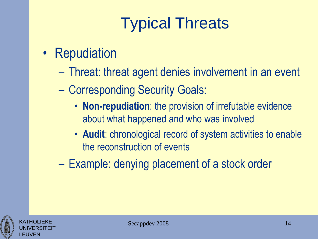- Repudiation
	- Threat: threat agent denies involvement in an event
	- Corresponding Security Goals:
		- **Non-repudiation**: the provision of irrefutable evidence about what happened and who was involved
		- **Audit**: chronological record of system activities to enable the reconstruction of events
	- Example: denying placement of a stock order



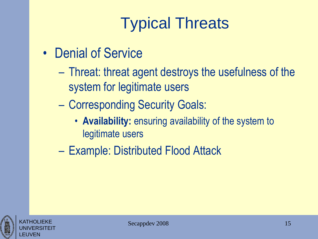- Denial of Service
	- Threat: threat agent destroys the usefulness of the system for legitimate users
	- Corresponding Security Goals:
		- **Availability:** ensuring availability of the system to legitimate users
	- Example: Distributed Flood Attack



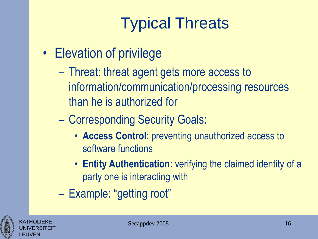- Elevation of privilege
	- Threat: threat agent gets more access to information/communication/processing resources than he is authorized for
	- Corresponding Security Goals:
		- **Access Control**: preventing unauthorized access to software functions
		- **Entity Authentication**: verifying the claimed identity of a party one is interacting with
	- Example: "getting root"



KATHOLIEKE UNIVERSITEIT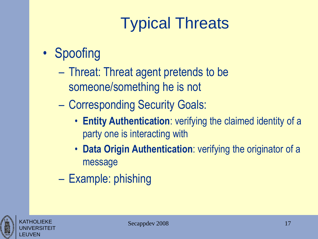#### • Spoofing

- Threat: Threat agent pretends to be someone/something he is not
- Corresponding Security Goals:
	- **Entity Authentication**: verifying the claimed identity of a party one is interacting with
	- **Data Origin Authentication**: verifying the originator of a message
- Example: phishing



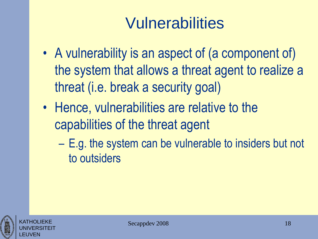- A vulnerability is an aspect of (a component of) the system that allows a threat agent to realize a threat (i.e. break a security goal)
- Hence, vulnerabilities are relative to the capabilities of the threat agent
	- E.g. the system can be vulnerable to insiders but not to outsiders



KATHOLIEKE UNIVERSITEIT

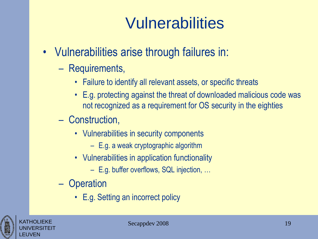- Vulnerabilities arise through failures in:
	- Requirements,
		- Failure to identify all relevant assets, or specific threats
		- E.g. protecting against the threat of downloaded malicious code was not recognized as a requirement for OS security in the eighties
	- Construction,
		- Vulnerabilities in security components
			- E.g. a weak cryptographic algorithm
		- Vulnerabilities in application functionality
			- E.g. buffer overflows, SQL injection, …
	- Operation
		- E.g. Setting an incorrect policy



KATHOLIEKE UNIVERSITEIT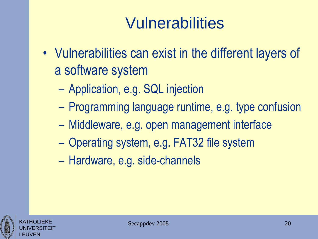- Vulnerabilities can exist in the different layers of a software system
	- Application, e.g. SQL injection
	- Programming language runtime, e.g. type confusion
	- Middleware, e.g. open management interface
	- Operating system, e.g. FAT32 file system
	- Hardware, e.g. side-channels

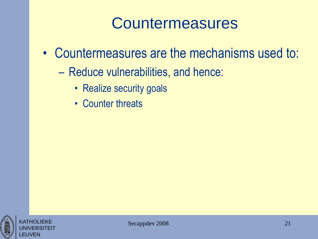## **Countermeasures**

- Countermeasures are the mechanisms used to:
	- Reduce vulnerabilities, and hence:
		- Realize security goals
		- Counter threats



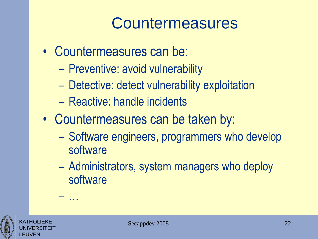## **Countermeasures**

- Countermeasures can be:
	- Preventive: avoid vulnerability
	- Detective: detect vulnerability exploitation
	- Reactive: handle incidents
- Countermeasures can be taken by:
	- Software engineers, programmers who develop software
	- Administrators, system managers who deploy software



KATHOLIEKE UNIVERSITEIT – …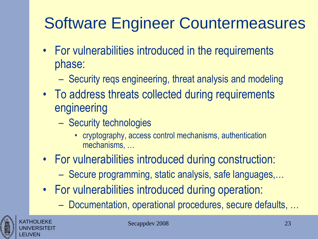# Software Engineer Countermeasures

- For vulnerabilities introduced in the requirements phase:
	- Security reqs engineering, threat analysis and modeling
- To address threats collected during requirements engineering
	- Security technologies
		- cryptography, access control mechanisms, authentication mechanisms, …
- For vulnerabilities introduced during construction:
	- Secure programming, static analysis, safe languages,…
- For vulnerabilities introduced during operation:
	- Documentation, operational procedures, secure defaults, …



KATHOLIEKE UNIVERSITEIT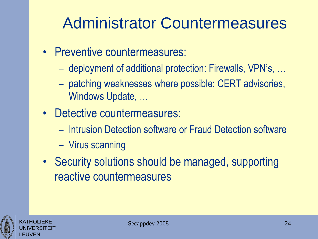## Administrator Countermeasures

- Preventive countermeasures:
	- deployment of additional protection: Firewalls, VPN's, …
	- patching weaknesses where possible: CERT advisories, Windows Update, …
- Detective countermeasures:
	- Intrusion Detection software or Fraud Detection software
	- Virus scanning
- Security solutions should be managed, supporting reactive countermeasures



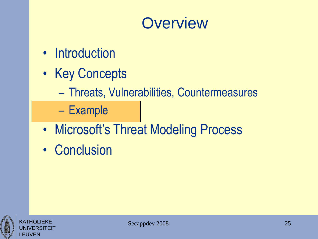## **Overview**

- Introduction
- Key Concepts
	- Threats, Vulnerabilities, Countermeasures

– Example

- Microsoft's Threat Modeling Process
- Conclusion



**KATHOLIFKE** UNIVERSITEIT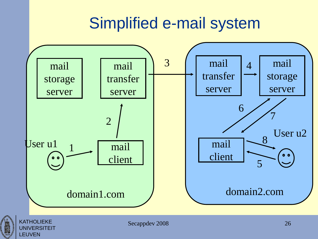## Simplified e-mail system





KATHOLIEKE UNIVERSITEIT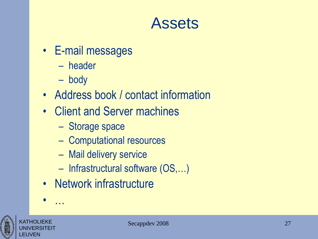#### Assets

- E-mail messages
	- header
	- body
- Address book / contact information
- Client and Server machines
	- Storage space
	- Computational resources
	- Mail delivery service
	- Infrastructural software (OS,…)
- Network infrastructure





• …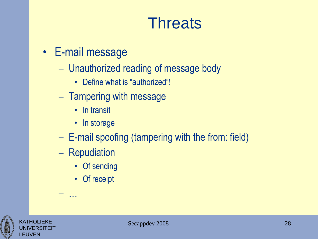## **Threats**

- E-mail message
	- Unauthorized reading of message body
		- Define what is "authorized"!
	- Tampering with message
		- In transit
		- In storage
	- E-mail spoofing (tampering with the from: field)
	- Repudiation

– …

- Of sending
- Of receipt



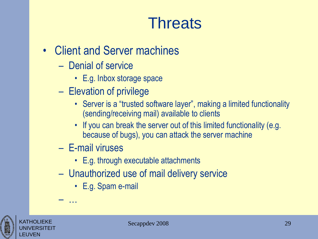## **Threats**

- Client and Server machines
	- Denial of service
		- E.g. Inbox storage space
	- Elevation of privilege
		- Server is a "trusted software layer", making a limited functionality (sending/receiving mail) available to clients
		- If you can break the server out of this limited functionality (e.g. because of bugs), you can attack the server machine
	- E-mail viruses

– …

- E.g. through executable attachments
- Unauthorized use of mail delivery service
	- E.g. Spam e-mail



KATHOLIEKE UNIVERSITEIT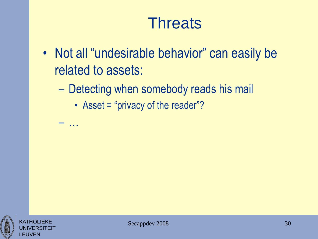## **Threats**

- Not all "undesirable behavior" can easily be related to assets:
	- Detecting when somebody reads his mail
		- Asset = "privacy of the reader"?

– …

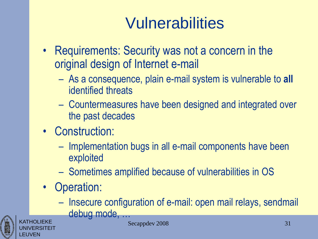- Requirements: Security was not a concern in the original design of Internet e-mail
	- As a consequence, plain e-mail system is vulnerable to **all** identified threats
	- Countermeasures have been designed and integrated over the past decades
- Construction:
	- Implementation bugs in all e-mail components have been exploited
	- Sometimes amplified because of vulnerabilities in OS
- Operation:
	- Insecure configuration of e-mail: open mail relays, sendmail debug mode, …



Secappdev 2008 31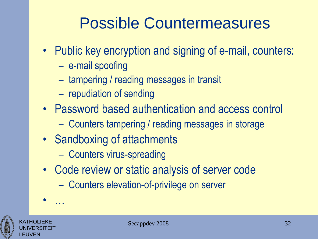# Possible Countermeasures

- Public key encryption and signing of e-mail, counters:
	- e-mail spoofing
	- tampering / reading messages in transit
	- repudiation of sending
- Password based authentication and access control
	- Counters tampering / reading messages in storage
- Sandboxing of attachments
	- Counters virus-spreading
- Code review or static analysis of server code
	- Counters elevation-of-privilege on server



KATHOLIEKE UNIVERSITEIT

• …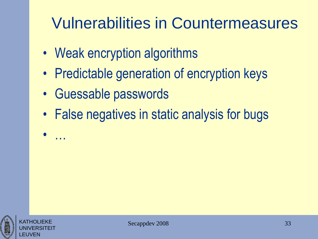# Vulnerabilities in Countermeasures

- Weak encryption algorithms
- Predictable generation of encryption keys
- Guessable passwords
- False negatives in static analysis for bugs



• …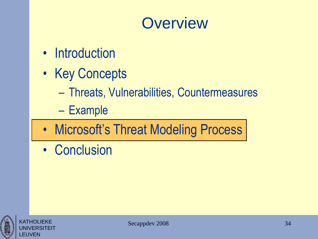## **Overview**

- Introduction
- Key Concepts
	- Threats, Vulnerabilities, Countermeasures
	- Example
- Microsoft's Threat Modeling Process
- Conclusion



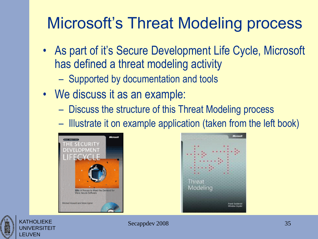# Microsoft's Threat Modeling process

- As part of it's Secure Development Life Cycle, Microsoft has defined a threat modeling activity
	- Supported by documentation and tools
- We discuss it as an example:
	- Discuss the structure of this Threat Modeling process
	- Illustrate it on example application (taken from the left book)







Secappdev 2008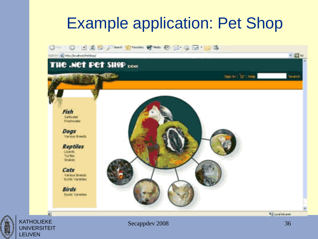## Example application: Pet Shop





Secappdev 2008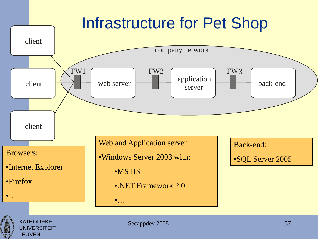## Infrastructure for Pet Shop





KATHOLIEKE UNIVERSITEIT LEUVEN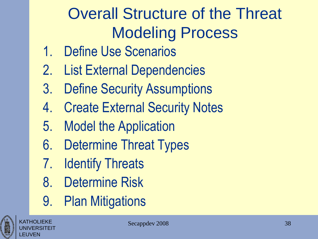# Overall Structure of the Threat Modeling Process

- 1. Define Use Scenarios
- 2. List External Dependencies
- 3. Define Security Assumptions
- 4. Create External Security Notes
- 5. Model the Application
- 6. Determine Threat Types
- 7. Identify Threats
- 8. Determine Risk
- 9. Plan Mitigations



KATHOLIEKE UNIVERSITEIT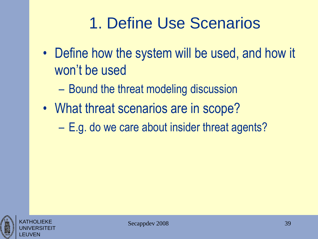# 1. Define Use Scenarios

- Define how the system will be used, and how it won't be used
	- Bound the threat modeling discussion
- What threat scenarios are in scope?
	- E.g. do we care about insider threat agents?



KATHOLIEKE UNIVERSITEIT

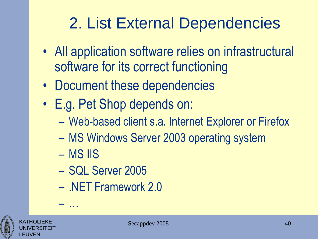# 2. List External Dependencies

- All application software relies on infrastructural software for its correct functioning
- Document these dependencies
- E.g. Pet Shop depends on:
	- Web-based client s.a. Internet Explorer or Firefox
	- MS Windows Server 2003 operating system
	- MS IIS

– …

- SQL Server 2005
- .NET Framework 2.0



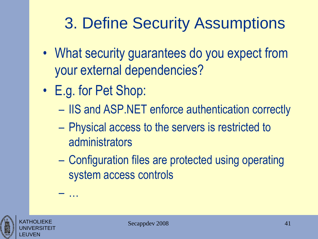# 3. Define Security Assumptions

- What security guarantees do you expect from your external dependencies?
- E.g. for Pet Shop:

– …

- IIS and ASP.NET enforce authentication correctly
- Physical access to the servers is restricted to administrators
- Configuration files are protected using operating system access controls



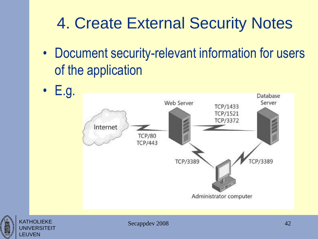# 4. Create External Security Notes

- Document security-relevant information for users of the application
- E.g.





Secappdev 2008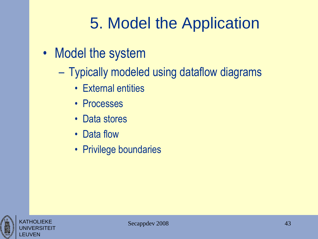# 5. Model the Application

- Model the system
	- Typically modeled using dataflow diagrams
		- External entities
		- Processes
		- Data stores
		- Data flow
		- Privilege boundaries



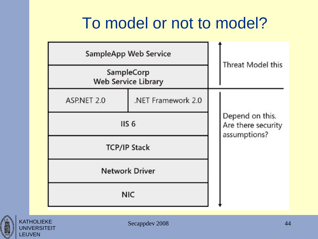## To model or not to model?

| <b>SampleApp Web Service</b>             | <b>Threat Model this</b> |  |  |
|------------------------------------------|--------------------------|--|--|
| SampleCorp<br><b>Web Service Library</b> |                          |  |  |
| ASP.NET 2.0                              | .NET Framework 2.0       |  |  |
|                                          | IIS <sub>6</sub>         |  |  |
|                                          | <b>TCP/IP Stack</b>      |  |  |
|                                          | <b>Network Driver</b>    |  |  |
| <b>NIC</b>                               |                          |  |  |



KATHOLIEKE **UNIVERSITEIT**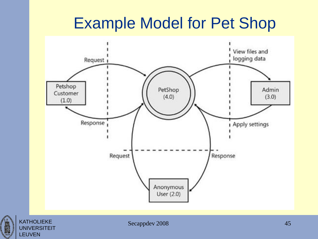## Example Model for Pet Shop



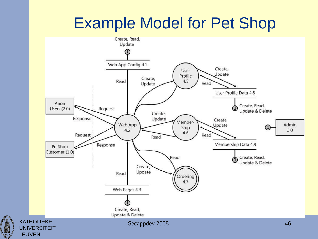## Example Model for Pet Shop



1425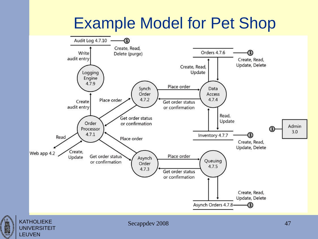# Example Model for Pet Shop





Secappdev 2008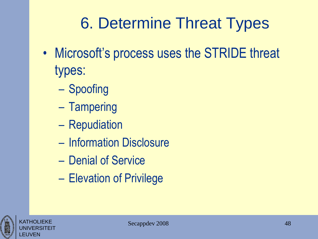# 6. Determine Threat Types

- Microsoft's process uses the STRIDE threat types:
	- Spoofing
	- Tampering
	- Repudiation
	- Information Disclosure
	- Denial of Service
	- Elevation of Privilege



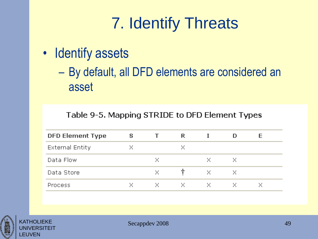# 7. Identify Threats

- Identify assets
	- By default, all DFD elements are considered an asset

#### Table 9-5. Mapping STRIDE to DFD Element Types

| ⊢              | R | s | <b>DFD Element Type</b> |
|----------------|---|---|-------------------------|
| ×              |   |   | <b>External Entity</b>  |
| ×<br>x<br>×    |   |   | Data Flow               |
| ×.<br>×<br>x   |   |   | Data Store              |
| - × ·<br>- x - |   |   | <b>Process</b>          |
|                |   |   |                         |



**KATHOLIEKE** UNIVERSITEIT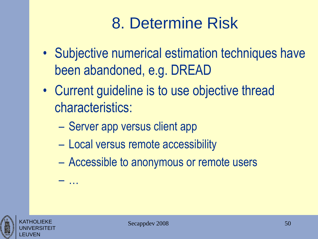# 8. Determine Risk

- Subjective numerical estimation techniques have been abandoned, e.g. DREAD
- Current guideline is to use objective thread characteristics:
	- Server app versus client app
	- Local versus remote accessibility
	- Accessible to anonymous or remote users

Secappdev 2008





– …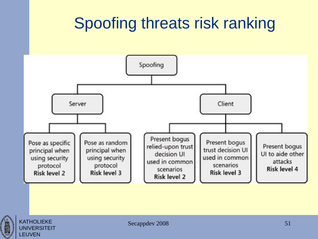# Spoofing threats risk ranking





KATHOLIEKE **UNIVERSITEIT**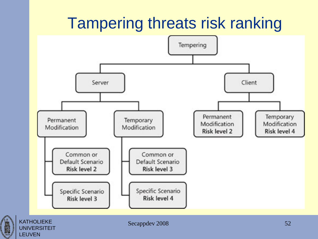# Tampering threats risk ranking



 $\begin{bmatrix} 1 & 1 \\ 1 & 1 \\ 2 & 1 \\ 3 & 1 \\ 4 & 2 & 5 \\ 5 & 6 & 1 \\ 6 & 1 & 1 \\ 7 & 1 & 1 \\ 8 & 1 & 1 \\ 9 & 1 & 1 \\ 10 & 1 & 1 \\ 11 & 1 & 1 & 1 \\ 12 & 1 & 1 & 1 \\ 13 & 1 & 1 & 1 & 1 \\ 14 & 1 & 1 & 1 & 1 \\ 15 & 1 & 1 & 1 & 1 \\ 16 & 1 & 1 & 1 & 1 \\ 17 & 1 & 1 & 1 & 1 \\ 18 & 1 & 1 & 1 & 1 \\ 19 &$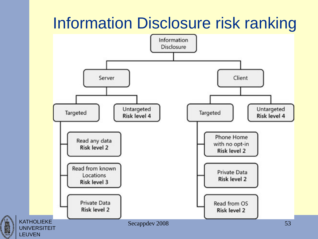# Information Disclosure risk ranking

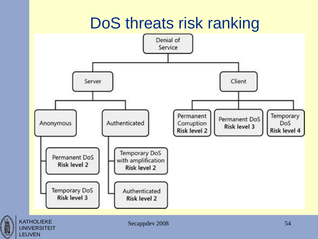# DoS threats risk ranking



LEUVEN

 $\begin{array}{c}\n\hline\n\text{1425}\n\end{array}$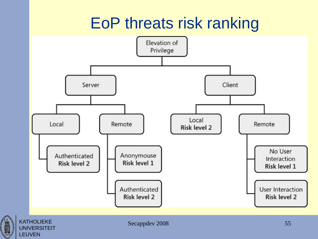# EoP threats risk ranking



LEUVEN

 $\begin{bmatrix}\n1 & 1 & 1 \\
1 & 1 & 1\n\end{bmatrix}$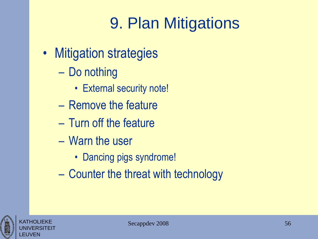# 9. Plan Mitigations

- Mitigation strategies
	- Do nothing
		- External security note!
	- Remove the feature
	- Turn off the feature
	- Warn the user
		- Dancing pigs syndrome!
	- Counter the threat with technology



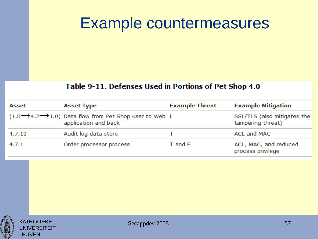### Example countermeasures

#### Table 9-11. Defenses Used in Portions of Pet Shop 4.0

| Asset  | <b>Asset Type</b>                                                                                     | <b>Example Threat</b> | <b>Example Mitigation</b>                        |
|--------|-------------------------------------------------------------------------------------------------------|-----------------------|--------------------------------------------------|
|        | $(1.0 \rightarrow 4.2 \rightarrow 1.0)$ Data flow from Pet Shop user to Web I<br>application and back |                       | SSL/TLS (also mitigates the<br>tampering threat) |
| 4.7.10 | Audit log data store                                                                                  |                       | ACL and MAC                                      |
| 4.7.1  | Order processor process                                                                               | $T$ and $E$           | ACL, MAC, and reduced<br>process privilege       |



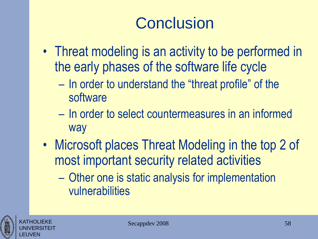# **Conclusion**

- Threat modeling is an activity to be performed in the early phases of the software life cycle
	- In order to understand the "threat profile" of the software
	- In order to select countermeasures in an informed way
- Microsoft places Threat Modeling in the top 2 of most important security related activities
	- Other one is static analysis for implementation vulnerabilities



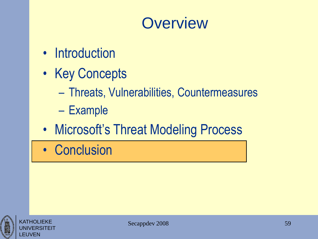## **Overview**

- Introduction
- Key Concepts
	- Threats, Vulnerabilities, Countermeasures
	- Example
- Microsoft's Threat Modeling Process
- Conclusion